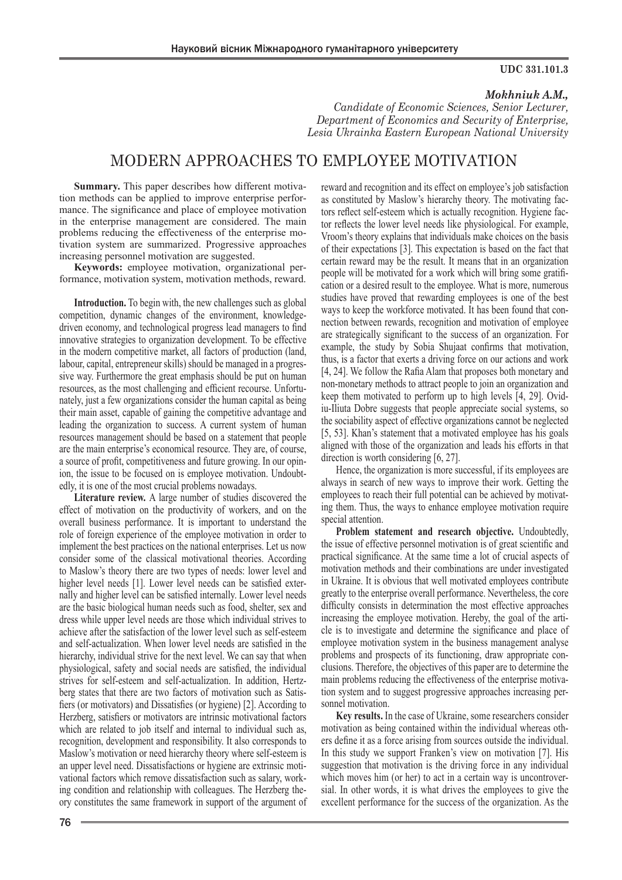#### **UDC 331.101.3**

## *Mokhniuk A.M.,*

*Candidate of Economic Sciences, Senior Lecturer, Department of Economics and Security of Enterprise, Lesia Ukrainka Eastern European National University*

# MODERN APPROACHES TO EMPLOYEE MOTIVATION

**Summary.** This paper describes how different motivation methods can be applied to improve enterprise performance. The significance and place of employee motivation in the enterprise management are considered. The main problems reducing the effectiveness of the enterprise motivation system are summarized. Progressive approaches increasing personnel motivation are suggested.

**Keywords:** employee motivation, organizational performance, motivation system, motivation methods, reward.

**Introduction.** To begin with, the new challenges such as global competition, dynamic changes of the environment, knowledgedriven economy, and technological progress lead managers to find innovative strategies to organization development. To be effective in the modern competitive market, all factors of production (land, labour, capital, entrepreneur skills) should be managed in a progressive way. Furthermore the great emphasis should be put on human resources, as the most challenging and efficient recourse. Unfortunately, just a few organizations consider the human capital as being their main asset, capable of gaining the competitive advantage and leading the organization to success. A current system of human resources management should be based on a statement that people are the main enterprise's economical resource. They are, of course, a source of profit, competitiveness and future growing. In our opinion, the issue to be focused on is employee motivation. Undoubtedly, it is one of the most crucial problems nowadays.

**Literature review.** A large number of studies discovered the effect of motivation on the productivity of workers, and on the overall business performance. It is important to understand the role of foreign experience of the employee motivation in order to implement the best practices on the national enterprises. Let us now consider some of the classical motivational theories. According to Maslow's theory there are two types of needs: lower level and higher level needs [1]. Lower level needs can be satisfied externally and higher level can be satisfied internally. Lower level needs are the basic biological human needs such as food, shelter, sex and dress while upper level needs are those which individual strives to achieve after the satisfaction of the lower level such as self-esteem and self-actualization. When lower level needs are satisfied in the hierarchy, individual strive for the next level. We can say that when physiological, safety and social needs are satisfied, the individual strives for self-esteem and self-actualization. In addition, Hertzberg states that there are two factors of motivation such as Satisfiers (or motivators) and Dissatisfies (or hygiene) [2]. According to Herzberg, satisfiers or motivators are intrinsic motivational factors which are related to job itself and internal to individual such as, recognition, development and responsibility. It also corresponds to Maslow's motivation or need hierarchy theory where self-esteem is an upper level need. Dissatisfactions or hygiene are extrinsic motivational factors which remove dissatisfaction such as salary, working condition and relationship with colleagues. The Herzberg theory constitutes the same framework in support of the argument of

reward and recognition and its effect on employee's job satisfaction as constituted by Maslow's hierarchy theory. The motivating factors reflect self-esteem which is actually recognition. Hygiene factor reflects the lower level needs like physiological. For example, Vroom's theory explains that individuals make choices on the basis of their expectations [3]. This expectation is based on the fact that certain reward may be the result. It means that in an organization people will be motivated for a work which will bring some gratification or a desired result to the employee. What is more, numerous studies have proved that rewarding employees is one of the best ways to keep the workforce motivated. It has been found that connection between rewards, recognition and motivation of employee are strategically significant to the success of an organization. For example, the study by Sobia Shujaat confirms that motivation, thus, is a factor that exerts a driving force on our actions and work [4, 24]. We follow the Rafia Alam that proposes both monetary and non-monetary methods to attract people to join an organization and keep them motivated to perform up to high levels [4, 29]. Ovidiu-Iliuta Dobre suggests that people appreciate social systems, so the sociability aspect of effective organizations cannot be neglected [5, 53]. Khan's statement that a motivated employee has his goals aligned with those of the organization and leads his efforts in that direction is worth considering [6, 27].

Hence, the organization is more successful, if its employees are always in search of new ways to improve their work. Getting the employees to reach their full potential can be achieved by motivating them. Thus, the ways to enhance employee motivation require special attention.

**Problem statement and research objective.** Undoubtedly, the issue of effective personnel motivation is of great scientific and practical significance. At the same time a lot of crucial aspects of motivation methods and their combinations are under investigated in Ukraine. It is obvious that well motivated employees contribute greatly to the enterprise overall performance. Nevertheless, the core difficulty consists in determination the most effective approaches increasing the employee motivation. Hereby, the goal of the article is to investigate and determine the significance and place of employee motivation system in the business management analyse problems and prospects of its functioning, draw appropriate conclusions. Therefore, the objectives of this paper are to determine the main problems reducing the effectiveness of the enterprise motivation system and to suggest progressive approaches increasing personnel motivation.

**Key results.** In the case of Ukraine, some researchers consider motivation as being contained within the individual whereas others define it as a force arising from sources outside the individual. In this study we support Franken's view on motivation [7]. His suggestion that motivation is the driving force in any individual which moves him (or her) to act in a certain way is uncontroversial. In other words, it is what drives the employees to give the excellent performance for the success of the organization. As the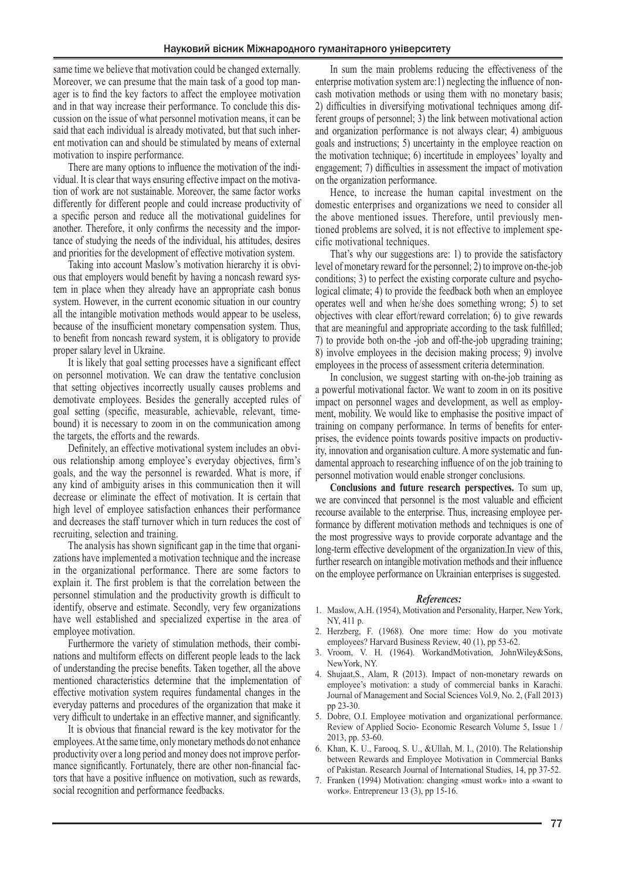same time we believe that motivation could be changed externally. Moreover, we can presume that the main task of a good top manager is to find the key factors to affect the employee motivation and in that way increase their performance. To conclude this discussion on the issue of what personnel motivation means, it can be said that each individual is already motivated, but that such inherent motivation can and should be stimulated by means of external motivation to inspire performance.

There are many options to influence the motivation of the individual. It is clear that ways ensuring effective impact on the motivation of work are not sustainable. Moreover, the same factor works differently for different people and could increase productivity of a specific person and reduce all the motivational guidelines for another. Therefore, it only confirms the necessity and the importance of studying the needs of the individual, his attitudes, desires and priorities for the development of effective motivation system.

Taking into account Maslow's motivation hierarchy it is obvious that employers would benefit by having a noncash reward system in place when they already have an appropriate cash bonus system. However, in the current economic situation in our country all the intangible motivation methods would appear to be useless, because of the insufficient monetary compensation system. Thus, to benefit from noncash reward system, it is obligatory to provide proper salary level in Ukraine.

It is likely that goal setting processes have a significant effect on personnel motivation. We can draw the tentative conclusion that setting objectives incorrectly usually causes problems and demotivate employees. Besides the generally accepted rules of goal setting (specific, measurable, achievable, relevant, timebound) it is necessary to zoom in on the communication among the targets, the efforts and the rewards.

Definitely, an effective motivational system includes an obvious relationship among employee's everyday objectives, firm's goals, and the way the personnel is rewarded. What is more, if any kind of ambiguity arises in this communication then it will decrease or eliminate the effect of motivation. It is certain that high level of employee satisfaction enhances their performance and decreases the staff turnover which in turn reduces the cost of recruiting, selection and training.

The analysis has shown significant gap in the time that organizations have implemented a motivation technique and the increase in the organizational performance. There are some factors to explain it. The first problem is that the correlation between the personnel stimulation and the productivity growth is difficult to identify, observe and estimate. Secondly, very few organizations have well established and specialized expertise in the area of employee motivation.

Furthermore the variety of stimulation methods, their combinations and multiform effects on different people leads to the lack of understanding the precise benefits. Taken together, all the above mentioned characteristics determine that the implementation of effective motivation system requires fundamental changes in the everyday patterns and procedures of the organization that make it very difficult to undertake in an effective manner, and significantly.

It is obvious that financial reward is the key motivator for the employees. At the same time, only monetary methods do not enhance productivity over a long period and money does not improve performance significantly. Fortunately, there are other non-financial factors that have a positive influence on motivation, such as rewards, social recognition and performance feedbacks.

In sum the main problems reducing the effectiveness of the enterprise motivation system are:1) neglecting the influence of noncash motivation methods or using them with no monetary basis; 2) difficulties in diversifying motivational techniques among different groups of personnel; 3) the link between motivational action and organization performance is not always clear; 4) ambiguous goals and instructions; 5) uncertainty in the employee reaction on the motivation technique; 6) incertitude in employees' loyalty and engagement; 7) difficulties in assessment the impact of motivation on the organization performance.

Hence, to increase the human capital investment on the domestic enterprises and organizations we need to consider all the above mentioned issues. Therefore, until previously mentioned problems are solved, it is not effective to implement specific motivational techniques.

That's why our suggestions are: 1) to provide the satisfactory level of monetary reward for the personnel; 2) to improve on-the-job conditions; 3) to perfect the existing corporate culture and psychological climate; 4) to provide the feedback both when an employee operates well and when he/she does something wrong; 5) to set objectives with clear effort/reward correlation; 6) to give rewards that are meaningful and appropriate according to the task fulfilled; 7) to provide both on-the -job and off-the-job upgrading training; 8) involve employees in the decision making process; 9) involve employees in the process of assessment criteria determination.

In conclusion, we suggest starting with on-the-job training as a powerful motivational factor. We want to zoom in on its positive impact on personnel wages and development, as well as employment, mobility. We would like to emphasise the positive impact of training on company performance. In terms of benefits for enterprises, the evidence points towards positive impacts on productivity, innovation and organisation culture. A more systematic and fundamental approach to researching influence of on the job training to personnel motivation would enable stronger conclusions.

**Conclusions and future research perspectives.** To sum up, we are convinced that personnel is the most valuable and efficient recourse available to the enterprise. Thus, increasing employee performance by different motivation methods and techniques is one of the most progressive ways to provide corporate advantage and the long-term effective development of the organization.In view of this, further research on intangible motivation methods and their influence on the employee performance on Ukrainian enterprises is suggested.

### *References:*

- 1. Maslow, A.H. (1954), Motivation and Personality, Harper, New York, NY, 411 p.
- 2. Herzberg, F. (1968). One more time: How do you motivate employees? Harvard Business Review, 40 (1), pp 53-62.
- 3. Vroom, V. H. (1964). WorkandMotivation, JohnWiley&Sons, NewYork, NY.
- 4. Shujaat,S., Alam, R (2013). Impact of non-monetary rewards on employee's motivation: a study of commercial banks in Karachi. Journal of Management and Social Sciences Vol.9, No. 2, (Fall 2013) pp 23-30.
- 5. Dobre, O.I. Employee motivation and organizational performance. Review of Applied Socio- Economic Research Volume 5, Issue 1 / 2013, pp. 53-60.
- 6. Khan, K. U., Farooq, S. U., &Ullah, M. I., (2010). The Relationship between Rewards and Employee Motivation in Commercial Banks of Pakistan. Research Journal of International Studies, 14, pp 37-52.
- 7. Franken (1994) Motivation: changing «must work» into a «want to work». Entrepreneur 13 (3), pp 15-16.